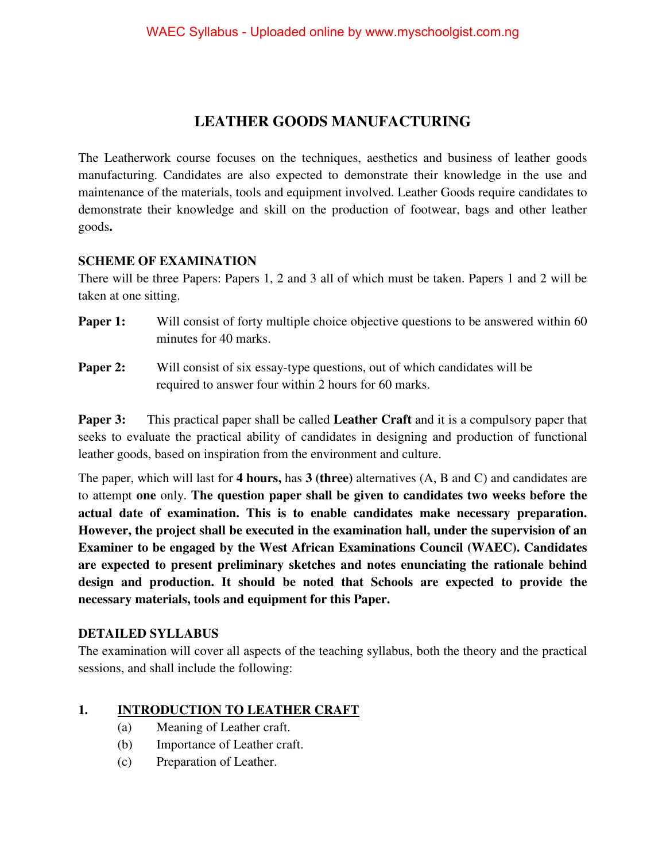# **LEATHER GOODS MANUFACTURING**

The Leatherwork course focuses on the techniques, aesthetics and business of leather goods manufacturing. Candidates are also expected to demonstrate their knowledge in the use and maintenance of the materials, tools and equipment involved. Leather Goods require candidates to demonstrate their knowledge and skill on the production of footwear, bags and other leather goods**.** 

#### **SCHEME OF EXAMINATION**

There will be three Papers: Papers 1, 2 and 3 all of which must be taken. Papers 1 and 2 will be taken at one sitting.

- **Paper 1:** Will consist of forty multiple choice objective questions to be answered within 60 minutes for 40 marks.
- **Paper 2:** Will consist of six essay-type questions, out of which candidates will be required to answer four within 2 hours for 60 marks.

**Paper 3:** This practical paper shall be called **Leather Craft** and it is a compulsory paper that seeks to evaluate the practical ability of candidates in designing and production of functional leather goods, based on inspiration from the environment and culture.

The paper, which will last for **4 hours,** has **3 (three)** alternatives (A, B and C) and candidates are to attempt **one** only. **The question paper shall be given to candidates two weeks before the actual date of examination. This is to enable candidates make necessary preparation. However, the project shall be executed in the examination hall, under the supervision of an Examiner to be engaged by the West African Examinations Council (WAEC). Candidates are expected to present preliminary sketches and notes enunciating the rationale behind design and production. It should be noted that Schools are expected to provide the necessary materials, tools and equipment for this Paper.** 

# **DETAILED SYLLABUS**

The examination will cover all aspects of the teaching syllabus, both the theory and the practical sessions, and shall include the following:

# **1. INTRODUCTION TO LEATHER CRAFT**

- (a) Meaning of Leather craft.
- (b) Importance of Leather craft.
- (c) Preparation of Leather.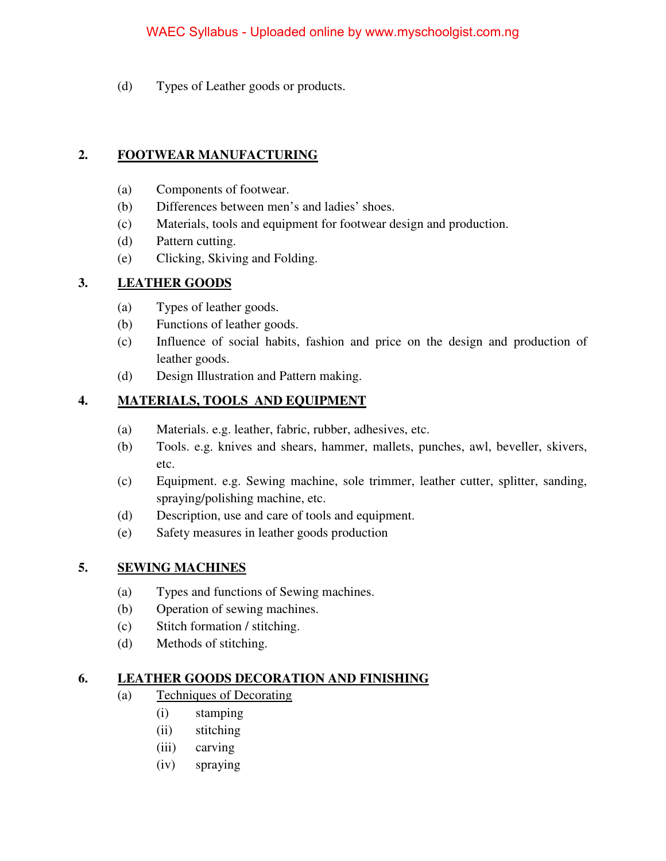### WAEC Syllabus - Uploaded online by www.myschoolgist.com.ng

(d) Types of Leather goods or products.

### **2. FOOTWEAR MANUFACTURING**

- (a) Components of footwear.
- (b) Differences between men's and ladies' shoes.
- (c) Materials, tools and equipment for footwear design and production.
- (d) Pattern cutting.
- (e) Clicking, Skiving and Folding.

# **3. LEATHER GOODS**

- (a) Types of leather goods.
- (b) Functions of leather goods.
- (c) Influence of social habits, fashion and price on the design and production of leather goods.
- (d) Design Illustration and Pattern making.

# **4. MATERIALS, TOOLS AND EQUIPMENT**

- (a) Materials. e.g. leather, fabric, rubber, adhesives, etc.
- (b) Tools. e.g. knives and shears, hammer, mallets, punches, awl, beveller, skivers, etc.
- (c) Equipment. e.g. Sewing machine, sole trimmer, leather cutter, splitter, sanding, spraying/polishing machine, etc.
- (d) Description, use and care of tools and equipment.
- (e) Safety measures in leather goods production

# **5. SEWING MACHINES**

- (a) Types and functions of Sewing machines.
- (b) Operation of sewing machines.
- (c) Stitch formation / stitching.
- (d) Methods of stitching.

#### **6. LEATHER GOODS DECORATION AND FINISHING**

- (a) Techniques of Decorating
	- (i) stamping
		- (ii) stitching
		- (iii) carving
		- (iv) spraying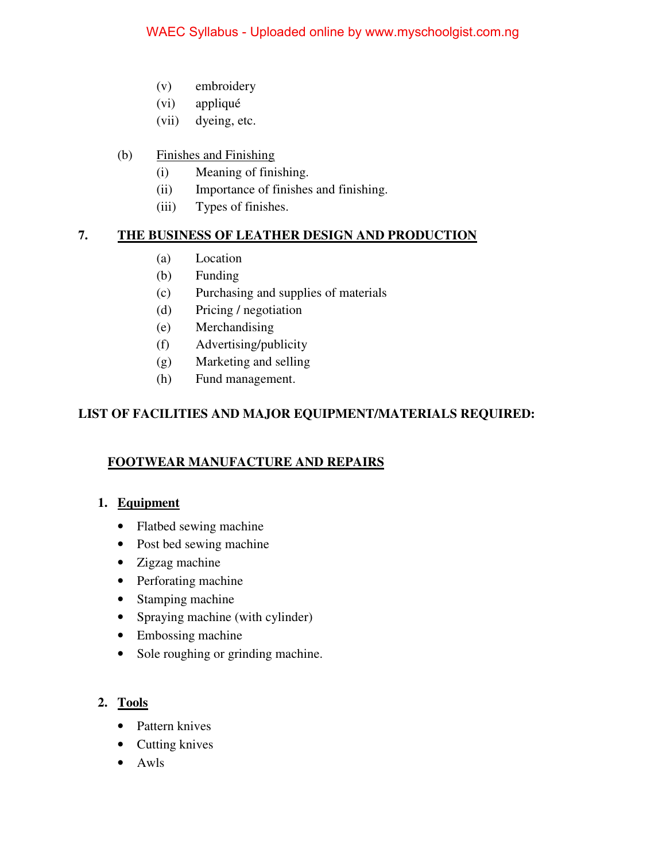- (v) embroidery
- (vi) appliqué
- (vii) dyeing, etc.
- (b) Finishes and Finishing
	- (i) Meaning of finishing.
	- (ii) Importance of finishes and finishing.
	- (iii) Types of finishes.

# **7. THE BUSINESS OF LEATHER DESIGN AND PRODUCTION**

- (a) Location
- (b) Funding
- (c) Purchasing and supplies of materials
- (d) Pricing / negotiation
- (e) Merchandising
- (f) Advertising/publicity
- (g) Marketing and selling
- (h) Fund management.

# **LIST OF FACILITIES AND MAJOR EQUIPMENT/MATERIALS REQUIRED:**

# **FOOTWEAR MANUFACTURE AND REPAIRS**

# 1. **Equipment**

- Flatbed sewing machine
- Post bed sewing machine
- Zigzag machine
- Perforating machine
- Stamping machine
- Spraying machine (with cylinder)
- Embossing machine
- Sole roughing or grinding machine.

# **2. Tools**

- Pattern knives
- Cutting knives
- Awls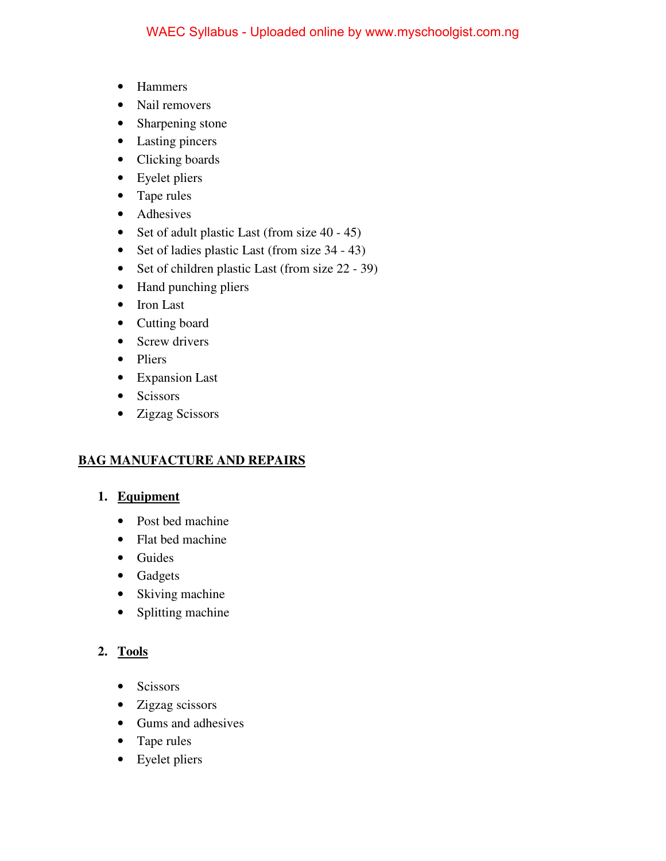- Hammers
- Nail removers
- Sharpening stone
- Lasting pincers
- Clicking boards
- Eyelet pliers
- Tape rules
- Adhesives
- Set of adult plastic Last (from size 40 45)
- Set of ladies plastic Last (from size 34 43)
- Set of children plastic Last (from size 22 39)
- Hand punching pliers
- Iron Last
- Cutting board
- Screw drivers
- Pliers
- Expansion Last
- Scissors
- Zigzag Scissors

# **BAG MANUFACTURE AND REPAIRS**

#### 1. **Equipment**

- Post bed machine
- Flat bed machine
- Guides
- Gadgets
- Skiving machine
- Splitting machine

# **2. Tools**

- Scissors
- Zigzag scissors
- Gums and adhesives
- Tape rules
- Eyelet pliers